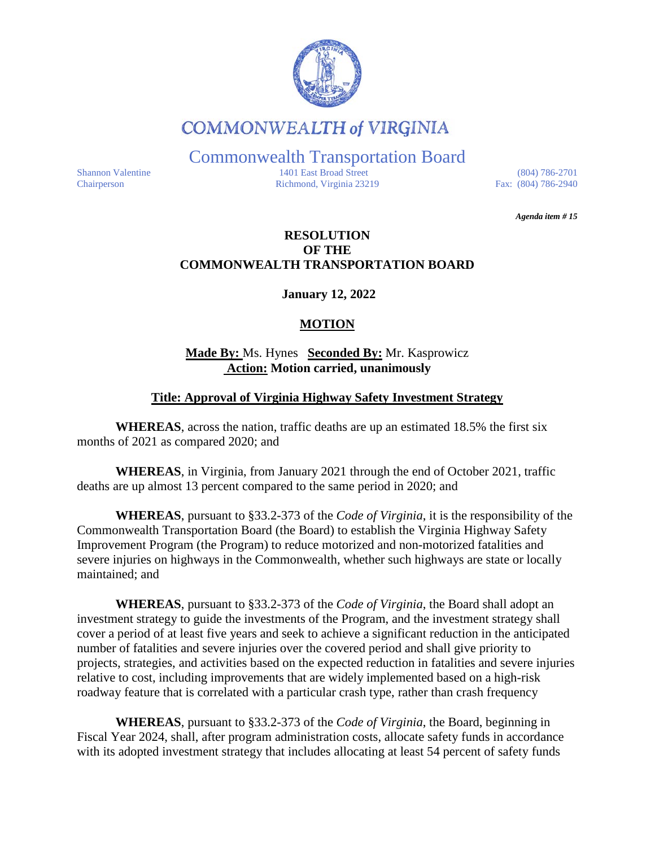

# **COMMONWEALTH of VIRGINIA**

Commonwealth Transportation Board

Shannon Valentine 1401 East Broad Street (804) 786-2701<br>Chairperson Richmond, Virginia 23219 Fax: (804) 786-2940 Chairperson Richmond, Virginia 23219

*Agenda item # 15* 

#### **RESOLUTION OF THE COMMONWEALTH TRANSPORTATION BOARD**

**January 12, 2022**

## **MOTION**

#### **Made By:** Ms. Hynes **Seconded By:** Mr. Kasprowicz **Action: Motion carried, unanimously**

### **Title: Approval of Virginia Highway Safety Investment Strategy**

**WHEREAS**, across the nation, traffic deaths are up an estimated 18.5% the first six months of 2021 as compared 2020; and

**WHEREAS**, in Virginia, from January 2021 through the end of October 2021, traffic deaths are up almost 13 percent compared to the same period in 2020; and

**WHEREAS**, pursuant to §33.2-373 of the *Code of Virginia*, it is the responsibility of the Commonwealth Transportation B[oard \(the B](https://law.lis.virginia.gov/vacode/33.2-373/)oard) to establish the Virginia Highway Safety Improvement Program (the Program) to reduce motorized and non-motorized fatalities and severe injuries on highways in the Commonwealth, whether such highways are state or locally maintained; and

**WHEREAS**, pursuant to §33.2-373 of the *Code of Virginia*, the Board shall adopt an investment strategy to guide the i[nvestments](https://law.lis.virginia.gov/vacode/33.2-373/) of the Program, and the investment strategy shall cover a period of at least five years and seek to achieve a significant reduction in the anticipated number of fatalities and severe injuries over the covered period and shall give priority to projects, strategies, and activities based on the expected reduction in fatalities and severe injuries relative to cost, including improvements that are widely implemented based on a high-risk roadway feature that is correlated with a particular crash type, rather than crash frequency

**WHEREAS**, pursuant to §33.2-373 of the *Code of Virginia*, the Board, beginning in Fiscal Year 2024, shall, after prog[ram admin](https://law.lis.virginia.gov/vacode/33.2-373/)istration costs, allocate safety funds in accordance with its adopted investment strategy that includes allocating at least 54 percent of safety funds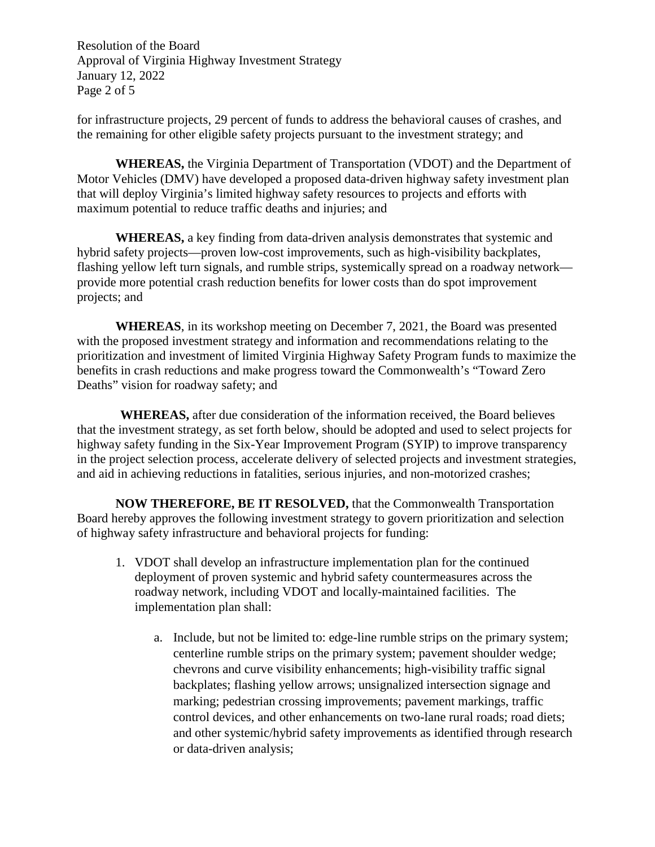Resolution of the Board Approval of Virginia Highway Investment Strategy January 12, 2022 Page 2 of 5

for infrastructure projects, 29 percent of funds to address the behavioral causes of crashes, and the remaining for other eligible safety projects pursuant to the investment strategy; and

**WHEREAS,** the Virginia Department of Transportation (VDOT) and the Department of Motor Vehicles (DMV) have developed a proposed data-driven highway safety investment plan that will deploy Virginia's limited highway safety resources to projects and efforts with maximum potential to reduce traffic deaths and injuries; and

**WHEREAS,** a key finding from data-driven analysis demonstrates that systemic and hybrid safety projects—proven low-cost improvements, such as high-visibility backplates, flashing yellow left turn signals, and rumble strips, systemically spread on a roadway network provide more potential crash reduction benefits for lower costs than do spot improvement projects; and

**WHEREAS**, in its workshop meeting on December 7, 2021, the Board was presented with the proposed investment strategy and information and recommendations relating to the prioritization and investment of limited Virginia Highway Safety Program funds to maximize the benefits in crash reductions and make progress toward the Commonwealth's "Toward Zero Deaths" vision for roadway safety; and

**WHEREAS,** after due consideration of the information received, the Board believes that the investment strategy, as set forth below, should be adopted and used to select projects for highway safety funding in the Six-Year Improvement Program (SYIP) to improve transparency in the project selection process, accelerate delivery of selected projects and investment strategies, and aid in achieving reductions in fatalities, serious injuries, and non-motorized crashes;

**NOW THEREFORE, BE IT RESOLVED,** that the Commonwealth Transportation Board hereby approves the following investment strategy to govern prioritization and selection of highway safety infrastructure and behavioral projects for funding:

- 1. VDOT shall develop an infrastructure implementation plan for the continued deployment of proven systemic and hybrid safety countermeasures across the roadway network, including VDOT and locally-maintained facilities. The implementation plan shall:
	- a. Include, but not be limited to: edge-line rumble strips on the primary system; centerline rumble strips on the primary system; pavement shoulder wedge; chevrons and curve visibility enhancements; high-visibility traffic signal backplates; flashing yellow arrows; unsignalized intersection signage and marking; pedestrian crossing improvements; pavement markings, traffic control devices, and other enhancements on two-lane rural roads; road diets; and other systemic/hybrid safety improvements as identified through research or data-driven analysis;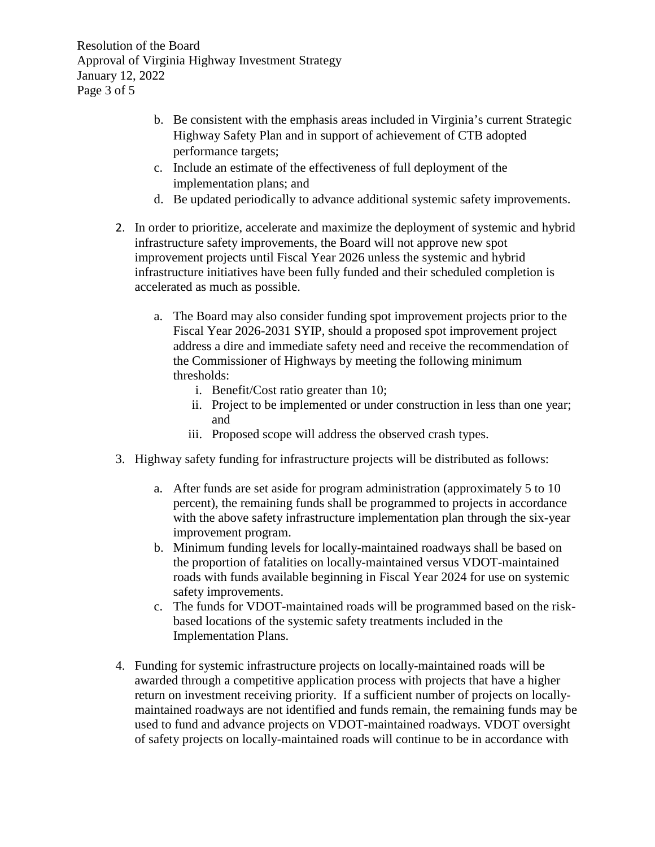Resolution of the Board Approval of Virginia Highway Investment Strategy January 12, 2022 Page 3 of 5

- b. Be consistent with the emphasis areas included in Virginia's current Strategic Highway Safety Plan and in support of achievement of CTB adopted performance targets;
- c. Include an estimate of the effectiveness of full deployment of the implementation plans; and
- d. Be updated periodically to advance additional systemic safety improvements.
- 2. In order to prioritize, accelerate and maximize the deployment of systemic and hybrid infrastructure safety improvements, the Board will not approve new spot improvement projects until Fiscal Year 2026 unless the systemic and hybrid infrastructure initiatives have been fully funded and their scheduled completion is accelerated as much as possible.
	- a. The Board may also consider funding spot improvement projects prior to the Fiscal Year 2026-2031 SYIP, should a proposed spot improvement project address a dire and immediate safety need and receive the recommendation of the Commissioner of Highways by meeting the following minimum thresholds:
		- i. Benefit/Cost ratio greater than 10;
		- ii. Project to be implemented or under construction in less than one year; and
		- iii. Proposed scope will address the observed crash types.
- 3. Highway safety funding for infrastructure projects will be distributed as follows:
	- a. After funds are set aside for program administration (approximately 5 to 10 percent), the remaining funds shall be programmed to projects in accordance with the above safety infrastructure implementation plan through the six-year improvement program.
	- b. Minimum funding levels for locally-maintained roadways shall be based on the proportion of fatalities on locally-maintained versus VDOT-maintained roads with funds available beginning in Fiscal Year 2024 for use on systemic safety improvements.
	- c. The funds for VDOT-maintained roads will be programmed based on the riskbased locations of the systemic safety treatments included in the Implementation Plans.
- 4. Funding for systemic infrastructure projects on locally-maintained roads will be awarded through a competitive application process with projects that have a higher return on investment receiving priority. If a sufficient number of projects on locallymaintained roadways are not identified and funds remain, the remaining funds may be used to fund and advance projects on VDOT-maintained roadways. VDOT oversight of safety projects on locally-maintained roads will continue to be in accordance with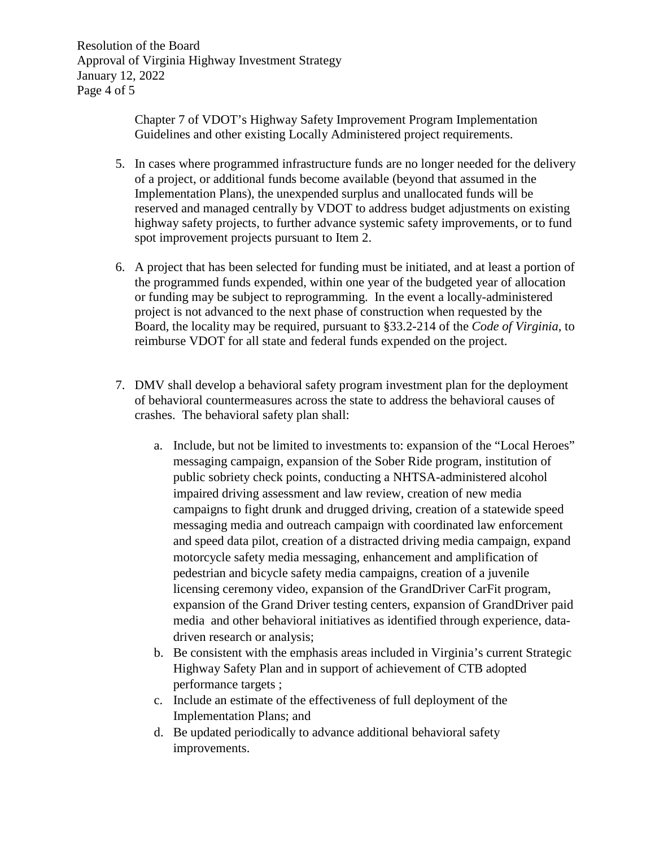Resolution of the Board Approval of Virginia Highway Investment Strategy January 12, 2022 Page 4 of 5

> Chapter 7 of VDOT's Highway Safety Improvement Program Implementation Guidelines and other existing Locally Administered project requirements.

- 5. In cases where programmed infrastructure funds are no longer needed for the delivery of a project, or additional funds become available (beyond that assumed in the Implementation Plans), the unexpended surplus and unallocated funds will be reserved and managed centrally by VDOT to address budget adjustments on existing highway safety projects, to further advance systemic safety improvements, or to fund spot improvement projects pursuant to Item 2.
- 6. A project that has been selected for funding must be initiated, and at least a portion of the programmed funds expended, within one year of the budgeted year of allocation or funding may be subject to reprogramming. In the event a locally-administered project is not advanced to the next phase of construction when requested by the Board, the locality may be required, pursuant to §33.2-214 of the *Code of Virginia*, to reimburse VDOT for all state and federal funds expended on the project.
- 7. DMV shall develop a behavioral safety program investment plan for the deployment of behavioral countermeasures across the state to address the behavioral causes of crashes. The behavioral safety plan shall:
	- a. Include, but not be limited to investments to: expansion of the "Local Heroes" messaging campaign, expansion of the Sober Ride program, institution of public sobriety check points, conducting a NHTSA-administered alcohol impaired driving assessment and law review, creation of new media campaigns to fight drunk and drugged driving, creation of a statewide speed messaging media and outreach campaign with coordinated law enforcement and speed data pilot, creation of a distracted driving media campaign, expand motorcycle safety media messaging, enhancement and amplification of pedestrian and bicycle safety media campaigns, creation of a juvenile licensing ceremony video, expansion of the GrandDriver CarFit program, expansion of the Grand Driver testing centers, expansion of GrandDriver paid media and other behavioral initiatives as identified through experience, datadriven research or analysis;
	- b. Be consistent with the emphasis areas included in Virginia's current Strategic Highway Safety Plan and in support of achievement of CTB adopted performance targets ;
	- c. Include an estimate of the effectiveness of full deployment of the Implementation Plans; and
	- d. Be updated periodically to advance additional behavioral safety improvements.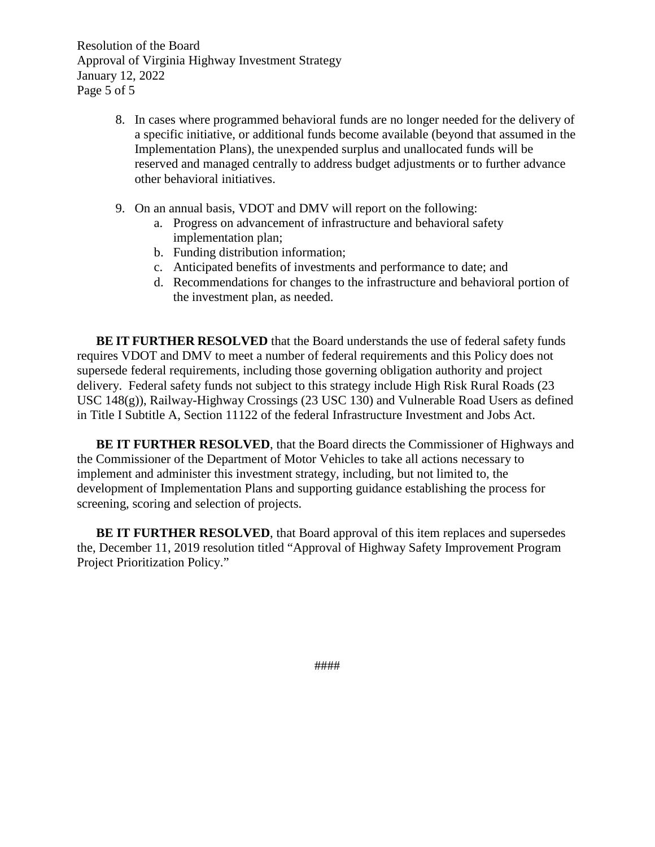Resolution of the Board Approval of Virginia Highway Investment Strategy January 12, 2022 Page 5 of 5

- 8. In cases where programmed behavioral funds are no longer needed for the delivery of a specific initiative, or additional funds become available (beyond that assumed in the Implementation Plans), the unexpended surplus and unallocated funds will be reserved and managed centrally to address budget adjustments or to further advance other behavioral initiatives.
- 9. On an annual basis, VDOT and DMV will report on the following:
	- a. Progress on advancement of infrastructure and behavioral safety implementation plan;
	- b. Funding distribution information;
	- c. Anticipated benefits of investments and performance to date; and
	- d. Recommendations for changes to the infrastructure and behavioral portion of the investment plan, as needed.

**BE IT FURTHER RESOLVED** that the Board understands the use of federal safety funds requires VDOT and DMV to meet a number of federal requirements and this Policy does not supersede federal requirements, including those governing obligation authority and project delivery. Federal safety funds not subject to this strategy include High Risk Rural Roads (23 USC 148(g)), Railway-Highway Crossings (23 USC 130) and Vulnerable Road Users as defined in Title I Subtitle A, Section 11122 of the federal Infrastructure Investment and Jobs Act.

**BE IT FURTHER RESOLVED**, that the Board directs the Commissioner of Highways and the Commissioner of the Department of Motor Vehicles to take all actions necessary to implement and administer this investment strategy, including, but not limited to, the development of Implementation Plans and supporting guidance establishing the process for screening, scoring and selection of projects.

**BE IT FURTHER RESOLVED**, that Board approval of this item replaces and supersedes the, December 11, 2019 resolution titled "Approval of Highway Safety Improvement Program Project Prioritization Policy."

####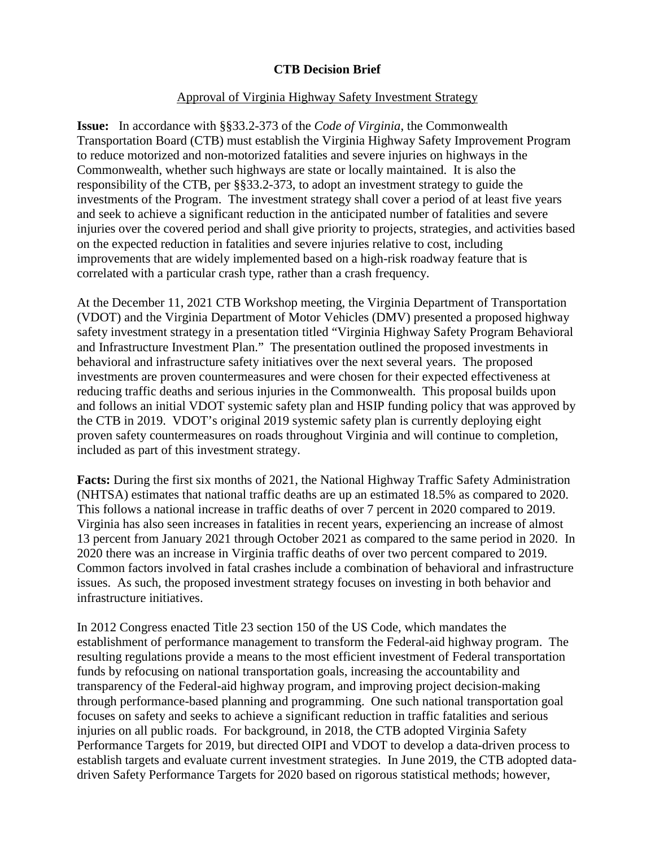### **CTB Decision Brief**

#### Approval of Virginia Highway Safety Investment Strategy

**Issue:** In accordance with §§33.2-373 of the *Code of Virginia*, the Commonwealth Transportation Board (CTB) must establish the Virginia Highway Safety Improvement Program to reduce motorized and non-motorized fatalities and severe injuries on highways in the Commonwealth, whether such highways are state or locally maintained. It is also the responsibility of the CTB, per §§33.2-373, to adopt an investment strategy to guide the investments of the Program. The investment strategy shall cover a period of at least five years and seek to achieve a significant reduction in the anticipated number of fatalities and severe injuries over the covered period and shall give priority to projects, strategies, and activities based on the expected reduction in fatalities and severe injuries relative to cost, including improvements that are widely implemented based on a high-risk roadway feature that is correlated with a particular crash type, rather than a crash frequency.

At the December 11, 2021 CTB Workshop meeting, the Virginia Department of Transportation (VDOT) and the Virginia Department of Motor Vehicles (DMV) presented a proposed highway safety investment strategy in a presentation titled "Virginia Highway Safety Program Behavioral and Infrastructure Investment Plan." The presentation outlined the proposed investments in behavioral and infrastructure safety initiatives over the next several years. The proposed investments are proven countermeasures and were chosen for their expected effectiveness at reducing traffic deaths and serious injuries in the Commonwealth. This proposal builds upon and follows an initial VDOT systemic safety plan and HSIP funding policy that was approved by the CTB in 2019. VDOT's original 2019 systemic safety plan is currently deploying eight proven safety countermeasures on roads throughout Virginia and will continue to completion, included as part of this investment strategy.

**Facts:** During the first six months of 2021, the National Highway Traffic Safety Administration (NHTSA) estimates that national traffic deaths are up an estimated 18.5% as compared to 2020. This follows a national increase in traffic deaths of over 7 percent in 2020 compared to 2019. Virginia has also seen increases in fatalities in recent years, experiencing an increase of almost 13 percent from January 2021 through October 2021 as compared to the same period in 2020. In 2020 there was an increase in Virginia traffic deaths of over two percent compared to 2019. Common factors involved in fatal crashes include a combination of behavioral and infrastructure issues. As such, the proposed investment strategy focuses on investing in both behavior and infrastructure initiatives.

In 2012 Congress enacted Title 23 section 150 of the US Code, which mandates the establishment of performance management to transform the Federal-aid highway program. The resulting regulations provide a means to the most efficient investment of Federal transportation funds by refocusing on national transportation goals, increasing the accountability and transparency of the Federal-aid highway program, and improving project decision-making through performance-based planning and programming. One such national transportation goal focuses on safety and seeks to achieve a significant reduction in traffic fatalities and serious injuries on all public roads. For background, in 2018, the CTB adopted Virginia Safety Performance Targets for 2019, but directed OIPI and VDOT to develop a data-driven process to establish targets and evaluate current investment strategies. In June 2019, the CTB adopted datadriven Safety Performance Targets for 2020 based on rigorous statistical methods; however,